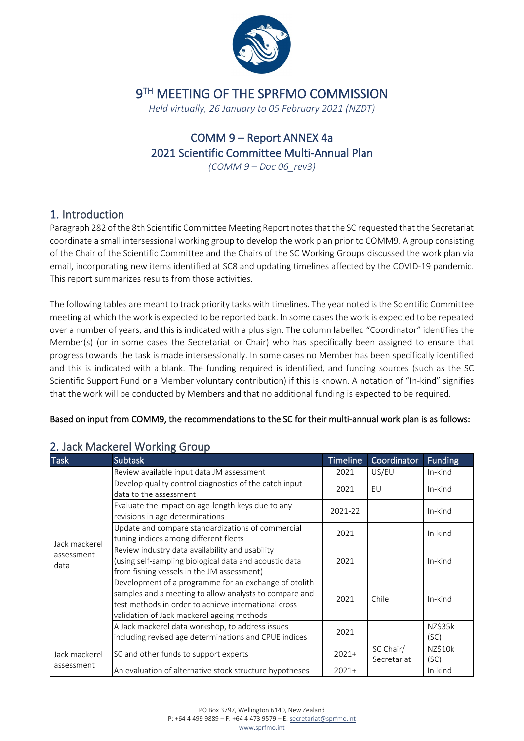

## 9<sup>TH</sup> MEETING OF THE SPRFMO COMMISSION

*Held virtually, 26 January to 05 February 2021 (NZDT)*

## COMM 9 – Report ANNEX 4a 2021 Scientific Committee Multi-Annual Plan

*(COMM 9 – Doc 06\_rev3)*

#### 1. Introduction

Paragraph 282 of th[e 8th Scientific Committee Meeting Report](https://www.sprfmo.int/assets/2020-SC8/Report/SPRFMO-SC8-Report-2020.pdf) notes that the SC requested that the Secretariat coordinate a small intersessional working group to develop the work plan prior to COMM9. A group consisting of the Chair of the Scientific Committee and the Chairs of the SC Working Groups discussed the work plan via email, incorporating new items identified at SC8 and updating timelines affected by the COVID-19 pandemic. This report summarizes results from those activities.

The following tables are meant to track priority tasks with timelines. The year noted is the Scientific Committee meeting at which the work is expected to be reported back. In some cases the work is expected to be repeated over a number of years, and this is indicated with a plus sign. The column labelled "Coordinator" identifies the Member(s) (or in some cases the Secretariat or Chair) who has specifically been assigned to ensure that progress towards the task is made intersessionally. In some cases no Member has been specifically identified and this is indicated with a blank. The funding required is identified, and funding sources (such as the SC Scientific Support Fund or a Member voluntary contribution) if this is known. A notation of "In-kind" signifies that the work will be conducted by Members and that no additional funding is expected to be required.

#### Based on input from COMM9, the recommendations to the SC for their multi-annual work plan is as follows:

| <b>Task</b>                 | <b>Subtask</b>                                                                                                                                                                                                        | <b>Timeline</b> | Coordinator              | <b>Funding</b>  |
|-----------------------------|-----------------------------------------------------------------------------------------------------------------------------------------------------------------------------------------------------------------------|-----------------|--------------------------|-----------------|
|                             | Review available input data JM assessment                                                                                                                                                                             | 2021            | US/EU                    | In-kind         |
|                             | Develop quality control diagnostics of the catch input<br>data to the assessment                                                                                                                                      | 2021            | EU                       | In-kind         |
|                             | Evaluate the impact on age-length keys due to any<br>revisions in age determinations                                                                                                                                  | 2021-22         |                          | In-kind         |
| Jack mackerel               | Update and compare standardizations of commercial<br>tuning indices among different fleets                                                                                                                            | 2021            |                          | In-kind         |
| assessment<br>data          | Review industry data availability and usability<br>(using self-sampling biological data and acoustic data<br>from fishing vessels in the JM assessment)                                                               | 2021            |                          | In-kind         |
|                             | Development of a programme for an exchange of otolith<br>samples and a meeting to allow analysts to compare and<br>test methods in order to achieve international cross<br>validation of Jack mackerel ageing methods | 2021            | Chile                    | In-kind         |
|                             | A Jack mackerel data workshop, to address issues<br>including revised age determinations and CPUE indices                                                                                                             | 2021            |                          | NZ\$35k<br>(SC) |
| Jack mackerel<br>assessment | SC and other funds to support experts                                                                                                                                                                                 | $2021+$         | SC Chair/<br>Secretariat | NZ\$10k<br>(SC) |
|                             | An evaluation of alternative stock structure hypotheses                                                                                                                                                               | $2021+$         |                          | In-kind         |

### 2. Jack Mackerel Working Group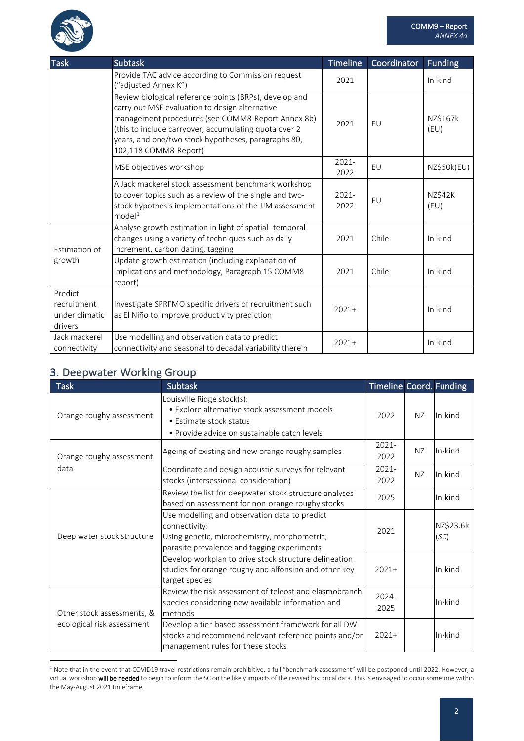

| <b>Task</b>                                         | <b>Subtask</b>                                                                                                                                                                                                                                                                                         | <b>Timeline</b> | Coordinator | <b>Funding</b>   |
|-----------------------------------------------------|--------------------------------------------------------------------------------------------------------------------------------------------------------------------------------------------------------------------------------------------------------------------------------------------------------|-----------------|-------------|------------------|
|                                                     | Provide TAC advice according to Commission request<br>("adjusted Annex K")                                                                                                                                                                                                                             | 2021            |             | In-kind          |
|                                                     | Review biological reference points (BRPs), develop and<br>carry out MSE evaluation to design alternative<br>management procedures (see COMM8-Report Annex 8b)<br>(this to include carryover, accumulating quota over 2<br>years, and one/two stock hypotheses, paragraphs 80,<br>102,118 COMM8-Report) | 2021            | EU          | NZ\$167k<br>(EU) |
|                                                     | MSE objectives workshop                                                                                                                                                                                                                                                                                | 2021-<br>2022   | EU          | NZ\$50k(EU)      |
|                                                     | A Jack mackerel stock assessment benchmark workshop<br>to cover topics such as a review of the single and two-<br>stock hypothesis implementations of the JJM assessment<br>model <sup>1</sup>                                                                                                         | 2021-<br>2022   | EU          | NZŚ42K<br>(EU)   |
| Estimation of<br>growth                             | Analyse growth estimation in light of spatial-temporal<br>changes using a variety of techniques such as daily<br>increment, carbon dating, tagging                                                                                                                                                     | 2021            | Chile       | In-kind          |
|                                                     | Update growth estimation (including explanation of<br>implications and methodology, Paragraph 15 COMM8<br>report)                                                                                                                                                                                      | 2021            | Chile       | In-kind          |
| Predict<br>recruitment<br>under climatic<br>drivers | Investigate SPRFMO specific drivers of recruitment such<br>as El Niño to improve productivity prediction                                                                                                                                                                                               | $2021+$         |             | In-kind          |
| Jack mackerel<br>connectivity                       | Use modelling and observation data to predict<br>connectivity and seasonal to decadal variability therein                                                                                                                                                                                              | $2021+$         |             | In-kind          |

#### 3. Deepwater Working Group

| <b>Task</b>                | <b>Subtask</b>                                                                                                                                                | Timeline Coord. Funding |     |                   |
|----------------------------|---------------------------------------------------------------------------------------------------------------------------------------------------------------|-------------------------|-----|-------------------|
| Orange roughy assessment   | Louisville Ridge stock(s):<br>• Explore alternative stock assessment models<br>• Estimate stock status<br>• Provide advice on sustainable catch levels        | 2022                    | NZ. | In-kind           |
| Orange roughy assessment   | Ageing of existing and new orange roughy samples                                                                                                              | 2021-<br>2022           | NZ. | In-kind           |
| data                       | Coordinate and design acoustic surveys for relevant<br>stocks (intersessional consideration)                                                                  | 2021-<br>2022           | NZ. | In-kind           |
|                            | Review the list for deepwater stock structure analyses<br>based on assessment for non-orange roughy stocks                                                    | 2025                    |     | In-kind           |
| Deep water stock structure | Use modelling and observation data to predict<br>connectivity:<br>Using genetic, microchemistry, morphometric,<br>parasite prevalence and tagging experiments | 2021                    |     | NZ\$23.6k<br>(SC) |
|                            | Develop workplan to drive stock structure delineation<br>studies for orange roughy and alfonsino and other key<br>target species                              | $2021+$                 |     | In-kind           |
| Other stock assessments, & | Review the risk assessment of teleost and elasmobranch<br>species considering new available information and<br>methods                                        | 2024-<br>2025           |     | In-kind           |
| ecological risk assessment | Develop a tier-based assessment framework for all DW<br>stocks and recommend relevant reference points and/or<br>management rules for these stocks            | $2021+$                 |     | In-kind           |

<span id="page-1-0"></span> $1$  Note that in the event that COVID19 travel restrictions remain prohibitive, a full "benchmark assessment" will be postponed until 2022. However, a virtual workshop will be needed to begin to inform the SC on the likely impacts of the revised historical data. This is envisaged to occur sometime within the May-August 2021 timeframe.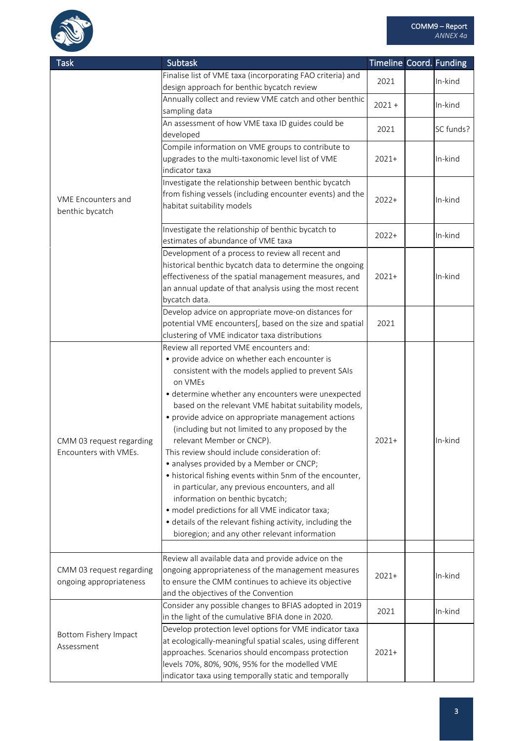

| <b>Task</b>              | <b>Subtask</b>                                                                                                        | Timeline Coord. Funding |           |
|--------------------------|-----------------------------------------------------------------------------------------------------------------------|-------------------------|-----------|
|                          | Finalise list of VME taxa (incorporating FAO criteria) and                                                            |                         |           |
|                          | design approach for benthic bycatch review                                                                            | 2021                    | In-kind   |
|                          | Annually collect and review VME catch and other benthic                                                               | $2021 +$                | In-kind   |
|                          | sampling data                                                                                                         |                         |           |
|                          | An assessment of how VME taxa ID guides could be                                                                      | 2021                    | SC funds? |
|                          | developed                                                                                                             |                         |           |
|                          | Compile information on VME groups to contribute to                                                                    |                         |           |
|                          | upgrades to the multi-taxonomic level list of VME                                                                     | $2021+$                 | In-kind   |
|                          | indicator taxa                                                                                                        |                         |           |
|                          | Investigate the relationship between benthic bycatch                                                                  |                         |           |
| VME Encounters and       | from fishing vessels (including encounter events) and the<br>habitat suitability models                               | $2022+$                 | In-kind   |
| benthic bycatch          |                                                                                                                       |                         |           |
|                          | Investigate the relationship of benthic bycatch to                                                                    |                         |           |
|                          | estimates of abundance of VME taxa                                                                                    | $2022+$                 | In-kind   |
|                          | Development of a process to review all recent and                                                                     |                         |           |
|                          | historical benthic bycatch data to determine the ongoing                                                              |                         |           |
|                          | effectiveness of the spatial management measures, and                                                                 | $2021+$                 | In-kind   |
|                          | an annual update of that analysis using the most recent                                                               |                         |           |
|                          | bycatch data.                                                                                                         |                         |           |
|                          | Develop advice on appropriate move-on distances for                                                                   |                         |           |
|                          | potential VME encounters[, based on the size and spatial                                                              | 2021                    |           |
|                          | clustering of VME indicator taxa distributions                                                                        |                         |           |
|                          | Review all reported VME encounters and:                                                                               |                         |           |
|                          | • provide advice on whether each encounter is                                                                         |                         |           |
|                          | consistent with the models applied to prevent SAIs                                                                    |                         |           |
|                          | on VMEs                                                                                                               |                         |           |
|                          | • determine whether any encounters were unexpected                                                                    |                         |           |
|                          | based on the relevant VME habitat suitability models,<br>• provide advice on appropriate management actions           |                         |           |
|                          | (including but not limited to any proposed by the                                                                     |                         |           |
| CMM 03 request regarding | relevant Member or CNCP).                                                                                             | $2021+$                 | In-kind   |
| Encounters with VMEs.    | This review should include consideration of:                                                                          |                         |           |
|                          | • analyses provided by a Member or CNCP;                                                                              |                         |           |
|                          | • historical fishing events within 5nm of the encounter,                                                              |                         |           |
|                          | in particular, any previous encounters, and all                                                                       |                         |           |
|                          | information on benthic bycatch;                                                                                       |                         |           |
|                          | · model predictions for all VME indicator taxa;                                                                       |                         |           |
|                          | · details of the relevant fishing activity, including the                                                             |                         |           |
|                          | bioregion; and any other relevant information                                                                         |                         |           |
|                          |                                                                                                                       |                         |           |
|                          | Review all available data and provide advice on the                                                                   |                         |           |
| CMM 03 request regarding | ongoing appropriateness of the management measures                                                                    | $2021+$                 | In-kind   |
| ongoing appropriateness  | to ensure the CMM continues to achieve its objective                                                                  |                         |           |
|                          | and the objectives of the Convention                                                                                  |                         |           |
|                          | Consider any possible changes to BFIAS adopted in 2019                                                                | 2021                    | In-kind   |
|                          | in the light of the cumulative BFIA done in 2020.                                                                     |                         |           |
| Bottom Fishery Impact    | Develop protection level options for VME indicator taxa<br>at ecologically-meaningful spatial scales, using different |                         |           |
| Assessment               | approaches. Scenarios should encompass protection                                                                     | $2021+$                 |           |
|                          | levels 70%, 80%, 90%, 95% for the modelled VME                                                                        |                         |           |
|                          | indicator taxa using temporally static and temporally                                                                 |                         |           |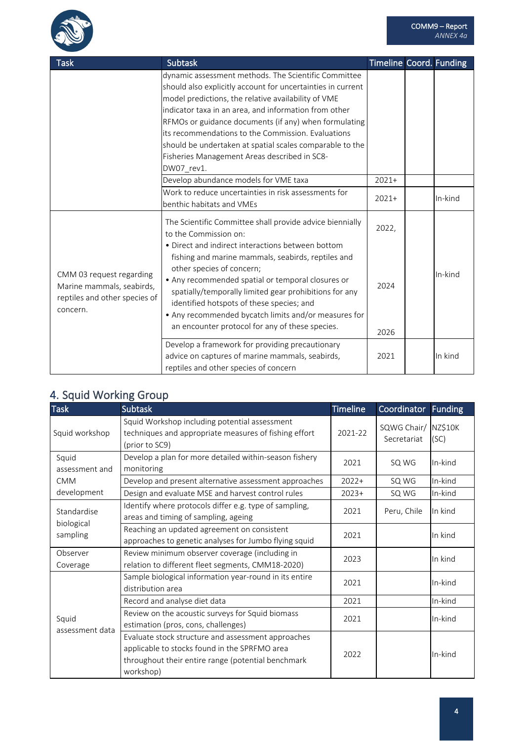

| <b>Task</b>                                                                                        | <b>Subtask</b>                                                                                                                                                                                                                                                                                                                                                                                              | <b>Timeline Coord. Funding</b> |         |
|----------------------------------------------------------------------------------------------------|-------------------------------------------------------------------------------------------------------------------------------------------------------------------------------------------------------------------------------------------------------------------------------------------------------------------------------------------------------------------------------------------------------------|--------------------------------|---------|
|                                                                                                    | dynamic assessment methods. The Scientific Committee                                                                                                                                                                                                                                                                                                                                                        |                                |         |
|                                                                                                    | should also explicitly account for uncertainties in current                                                                                                                                                                                                                                                                                                                                                 |                                |         |
|                                                                                                    | model predictions, the relative availability of VME                                                                                                                                                                                                                                                                                                                                                         |                                |         |
|                                                                                                    | indicator taxa in an area, and information from other                                                                                                                                                                                                                                                                                                                                                       |                                |         |
|                                                                                                    | RFMOs or guidance documents (if any) when formulating                                                                                                                                                                                                                                                                                                                                                       |                                |         |
|                                                                                                    | its recommendations to the Commission. Evaluations                                                                                                                                                                                                                                                                                                                                                          |                                |         |
|                                                                                                    | should be undertaken at spatial scales comparable to the                                                                                                                                                                                                                                                                                                                                                    |                                |         |
|                                                                                                    | Fisheries Management Areas described in SC8-                                                                                                                                                                                                                                                                                                                                                                |                                |         |
|                                                                                                    | DW07 rev1.                                                                                                                                                                                                                                                                                                                                                                                                  |                                |         |
|                                                                                                    | Develop abundance models for VME taxa                                                                                                                                                                                                                                                                                                                                                                       | $2021+$                        |         |
|                                                                                                    | Work to reduce uncertainties in risk assessments for                                                                                                                                                                                                                                                                                                                                                        | $2021+$                        | In-kind |
|                                                                                                    | benthic habitats and VMEs                                                                                                                                                                                                                                                                                                                                                                                   |                                |         |
|                                                                                                    | The Scientific Committee shall provide advice biennially<br>to the Commission on:                                                                                                                                                                                                                                                                                                                           | 2022,                          |         |
| CMM 03 request regarding<br>Marine mammals, seabirds,<br>reptiles and other species of<br>concern. | • Direct and indirect interactions between bottom<br>fishing and marine mammals, seabirds, reptiles and<br>other species of concern;<br>• Any recommended spatial or temporal closures or<br>spatially/temporally limited gear prohibitions for any<br>identified hotspots of these species; and<br>• Any recommended bycatch limits and/or measures for<br>an encounter protocol for any of these species. | 2024<br>2026                   | In-kind |
|                                                                                                    | Develop a framework for providing precautionary<br>advice on captures of marine mammals, seabirds,<br>reptiles and other species of concern                                                                                                                                                                                                                                                                 | 2021                           | In kind |

## 4. Squid Working Group

| <b>Task</b>                           | <b>Subtask</b>                                                                                                                                                         | <b>Timeline</b> | Coordinator                | <b>Funding</b>  |
|---------------------------------------|------------------------------------------------------------------------------------------------------------------------------------------------------------------------|-----------------|----------------------------|-----------------|
| Squid workshop                        | Squid Workshop including potential assessment<br>techniques and appropriate measures of fishing effort<br>(prior to SC9)                                               | 2021-22         | SQWG Chair/<br>Secretariat | NZ\$10K<br>(SC) |
| Squid<br>assessment and               | Develop a plan for more detailed within-season fishery<br>monitoring                                                                                                   | 2021            | SQ WG                      | In-kind         |
| <b>CMM</b>                            | Develop and present alternative assessment approaches                                                                                                                  | $2022+$         | SQ WG                      | In-kind         |
| development                           | Design and evaluate MSE and harvest control rules                                                                                                                      | $2023+$         | SQ WG                      | In-kind         |
| Standardise<br>biological<br>sampling | Identify where protocols differ e.g. type of sampling,<br>areas and timing of sampling, ageing                                                                         | 2021            | Peru, Chile                | In kind         |
|                                       | Reaching an updated agreement on consistent<br>approaches to genetic analyses for Jumbo flying squid                                                                   | 2021            |                            | In kind         |
| Observer<br>Coverage                  | Review minimum observer coverage (including in<br>relation to different fleet segments, CMM18-2020)                                                                    | 2023            |                            | In kind         |
|                                       | Sample biological information year-round in its entire<br>distribution area                                                                                            | 2021            |                            | In-kind         |
|                                       | Record and analyse diet data                                                                                                                                           | 2021            |                            | In-kind         |
| Squid<br>assessment data              | Review on the acoustic surveys for Squid biomass<br>estimation (pros, cons, challenges)                                                                                | 2021            |                            | In-kind         |
|                                       | Evaluate stock structure and assessment approaches<br>applicable to stocks found in the SPRFMO area<br>throughout their entire range (potential benchmark<br>workshop) | 2022            |                            | In-kind         |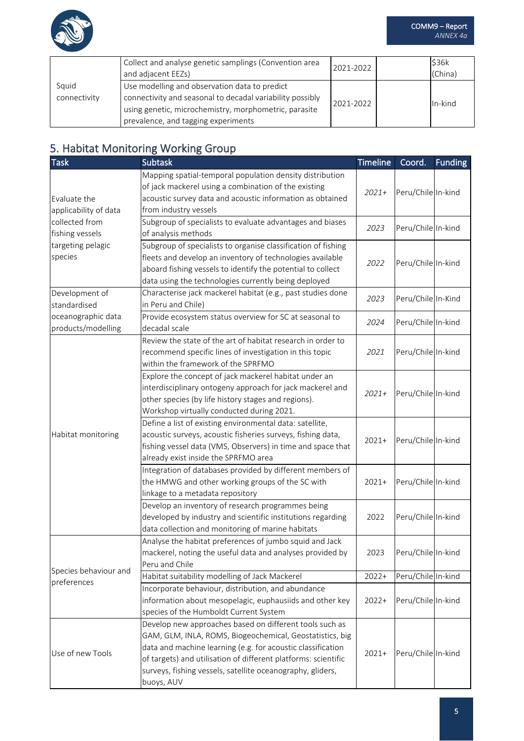

|                       | Collect and analyse genetic samplings (Convention area<br>and adjacent EEZs)                                                                                                                               | 2021-2022 | \$36k<br>(China) |
|-----------------------|------------------------------------------------------------------------------------------------------------------------------------------------------------------------------------------------------------|-----------|------------------|
| Squid<br>connectivity | Use modelling and observation data to predict<br>connectivity and seasonal to decadal variability possibly<br>using genetic, microchemistry, morphometric, parasite<br>prevalence, and tagging experiments | 2021-2022 | In-kind          |

## 5. Habitat Monitoring Working Group

| <b>Task</b>           | <b>Subtask</b>                                                 | <b>Timeline</b> | Coord.             | <b>Funding</b> |
|-----------------------|----------------------------------------------------------------|-----------------|--------------------|----------------|
|                       | Mapping spatial-temporal population density distribution       |                 |                    |                |
|                       | of jack mackerel using a combination of the existing           |                 | Peru/Chile In-kind |                |
| Evaluate the          | acoustic survey data and acoustic information as obtained      | $2021+$         |                    |                |
| applicability of data | from industry vessels                                          |                 |                    |                |
| collected from        | Subgroup of specialists to evaluate advantages and biases      |                 | Peru/Chile In-kind |                |
| fishing vessels       | of analysis methods                                            | 2023            |                    |                |
| targeting pelagic     | Subgroup of specialists to organise classification of fishing  |                 |                    |                |
| species               | fleets and develop an inventory of technologies available      | 2022            | Peru/Chile In-kind |                |
|                       | aboard fishing vessels to identify the potential to collect    |                 |                    |                |
|                       | data using the technologies currently being deployed           |                 |                    |                |
| Development of        | Characterise jack mackerel habitat (e.g., past studies done    | 2023            | Peru/Chile In-Kind |                |
| standardised          | in Peru and Chile)                                             |                 |                    |                |
| oceanographic data    | Provide ecosystem status overview for SC at seasonal to        | 2024            | Peru/Chile In-kind |                |
| products/modelling    | decadal scale                                                  |                 |                    |                |
|                       | Review the state of the art of habitat research in order to    |                 |                    |                |
|                       | recommend specific lines of investigation in this topic        | 2021            | Peru/Chile In-kind |                |
|                       | within the framework of the SPRFMO                             |                 |                    |                |
|                       | Explore the concept of jack mackerel habitat under an          |                 |                    |                |
|                       | interdisciplinary ontogeny approach for jack mackerel and      | $2021+$         | Peru/Chile In-kind |                |
|                       | other species (by life history stages and regions).            |                 |                    |                |
|                       | Workshop virtually conducted during 2021.                      |                 |                    |                |
|                       | Define a list of existing environmental data: satellite,       |                 |                    |                |
| Habitat monitoring    | acoustic surveys, acoustic fisheries surveys, fishing data,    | $2021+$         | Peru/Chile In-kind |                |
|                       | fishing vessel data (VMS, Observers) in time and space that    |                 |                    |                |
|                       | already exist inside the SPRFMO area                           |                 |                    |                |
|                       | Integration of databases provided by different members of      |                 |                    |                |
|                       | the HMWG and other working groups of the SC with               | $2021+$         | Peru/Chile In-kind |                |
|                       | linkage to a metadata repository                               |                 |                    |                |
|                       | Develop an inventory of research programmes being              |                 |                    |                |
|                       | developed by industry and scientific institutions regarding    | 2022            | Peru/Chile In-kind |                |
|                       | data collection and monitoring of marine habitats              |                 |                    |                |
|                       | Analyse the habitat preferences of jumbo squid and Jack        |                 |                    |                |
|                       | mackerel, noting the useful data and analyses provided by      | 2023            | Peru/Chile In-kind |                |
| Species behaviour and | Peru and Chile                                                 |                 |                    |                |
| preferences           | Habitat suitability modelling of Jack Mackerel                 | $2022+$         | Peru/Chile In-kind |                |
|                       | Incorporate behaviour, distribution, and abundance             |                 |                    |                |
|                       | information about mesopelagic, euphausiids and other key       | $2022+$         | Peru/Chile In-kind |                |
|                       | species of the Humboldt Current System                         |                 |                    |                |
|                       | Develop new approaches based on different tools such as        |                 |                    |                |
|                       | GAM, GLM, INLA, ROMS, Biogeochemical, Geostatistics, big       |                 |                    |                |
| Use of new Tools      | data and machine learning (e.g. for acoustic classification    | $2021+$         | Peru/Chile In-kind |                |
|                       | of targets) and utilisation of different platforms: scientific |                 |                    |                |
|                       | surveys, fishing vessels, satellite oceanography, gliders,     |                 |                    |                |
|                       | buoys, AUV                                                     |                 |                    |                |